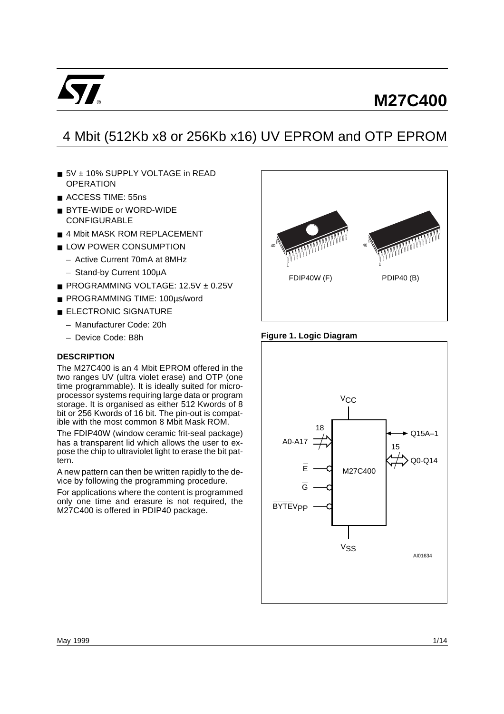

# **M27C400**

# 4 Mbit (512Kb x8 or 256Kb x16) UV EPROM and OTP EPROM

- 5V + 10% SUPPLY VOLTAGE in READ **OPERATION**
- ACCESS TIME: 55ns
- BYTE-WIDE or WORD-WIDE CONFIGURABLE
- 4 Mbit MASK ROM REPLACEMENT
- LOW POWER CONSUMPTION
	- Active Current 70mA at 8MHz
	- Stand-by Current 100µA
- PROGRAMMING VOLTAGE: 12.5V ± 0.25V
- PROGRAMMING TIME: 100µs/word
- ELECTRONIC SIGNATURE
	- Manufacturer Code: 20h
	- Device Code: B8h

## **DESCRIPTION**

The M27C400 is an 4 Mbit EPROM offered in the two ranges UV (ultra violet erase) and OTP (one time programmable). It is ideally suited for microprocessor systems requiring large data or program storage. It is organised as either 512 Kwords of 8 bit or 256 Kwords of 16 bit. The pin-out is compatible with the most common 8 Mbit Mask ROM.

The FDIP40W (window ceramic frit-seal package) has a transparent lid which allows the user to expose the chip to ultraviolet light to erase the bit pattern.

A new pattern can then be written rapidly to the device by following the programming procedure.

For applications where the content is programmed only one time and erasure is not required, the M27C400 is offered in PDIP40 package.



#### **Figure 1. Logic Diagram**

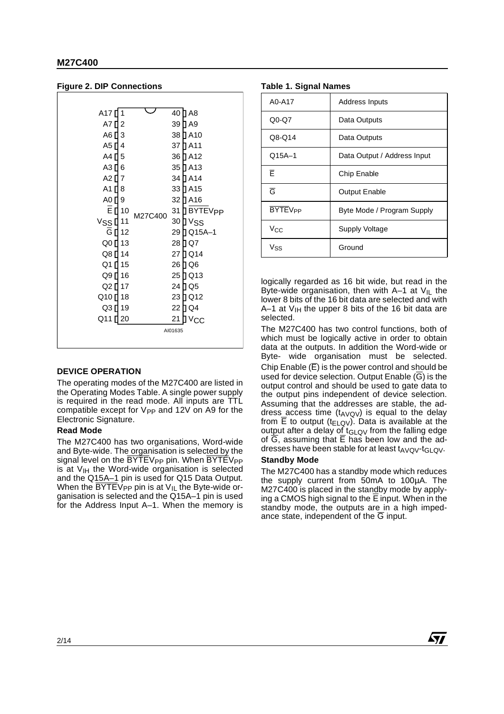## **Figure 2. DIP Connections**

| A17 <sup>[]</sup><br>1 |         | 40 ∐ A8                |
|------------------------|---------|------------------------|
| A7 []<br>2             |         | 39 ∏ A9                |
| A6 [ 3                 |         | 38 ∏ A10               |
| A5 [ 4                 |         | 37 ∏ A11               |
| A4 [ 5                 |         | 36 ∏ A12               |
| A3 [ 6                 |         | 35 D A13               |
| A2 $\P$ 7              |         | 34 [] A14              |
| A1 $\Pi$ 8             |         | 33 [] A15              |
| A0 [] 9                |         | 32 D A16               |
| Ē ∏ 10                 | M27C400 | 31 BYTEV <sub>PP</sub> |
| Vssਧ<br>11             |         | 30 D V <sub>SS</sub>   |
| G [ 12                 |         | 29 ∏ Q15A–1            |
| Q0 [] 13               |         | 28 [] Q7               |
| Q8 [ 14                |         | 27 DQ14                |
| Q1 [ 15                |         | 26 D Q 6               |
| Q9 [] 16               |         | 25 DQ13                |
| Q2 [] 17               |         | 24 D Q 5               |
| Q10 <sup>[18]</sup>    |         | 23 D Q 12              |
| Q3 [] 19               |         | 22 D Q 4               |
| Q11<br>20              |         | 21<br>$V_{\rm CC}$     |
|                        |         | AI01635                |
|                        |         |                        |

## **DEVICE OPERATION**

The operating modes of the M27C400 are listed in the Operating Modes Table. A single power supply is required in the read mode. All inputs are TTL compatible except for  $V_{PP}$  and 12V on A9 for the Electronic Signature.

## **Read Mode**

The M27C400 has two organisations, Word-wide and Byte-wide. The organisation is selected by the signal level on the BYTEV<sub>PP</sub> pin. When BYTEV<sub>PP</sub> is at  $V_{\text{IH}}$  the Word-wide organisation is selected and the Q15A–1 pin is used for Q15 Data Output. When the  $\overline{BYTEV}$ <sub>PP</sub> pin is at  $V_{IL}$  the Byte-wide organisation is selected and the Q15A–1 pin is used for the Address Input A–1. When the memory is

#### **Table 1. Signal Names**

| Address Inputs              |
|-----------------------------|
| Data Outputs                |
| Data Outputs                |
| Data Output / Address Input |
| Chip Enable                 |
| <b>Output Enable</b>        |
| Byte Mode / Program Supply  |
| Supply Voltage              |
| Ground                      |
|                             |

logically regarded as 16 bit wide, but read in the Byte-wide organisation, then with A–1 at  $V_{IL}$  the lower 8 bits of the 16 bit data are selected and with A–1 at  $V_{\text{IH}}$  the upper 8 bits of the 16 bit data are selected.

The M27C400 has two control functions, both of which must be logically active in order to obtain data at the outputs. In addition the Word-wide or Byte- wide organisation must be selected. Chip Enable  $(\overline{E})$  is the power control and should be used for device selection. Output Enable  $(\overline{G})$  is the output control and should be used to gate data to the output pins independent of device selection. Assuming that the addresses are stable, the address access time  $(t_{AVQV})$  is equal to the delay from  $\overline{E}$  to output (t<sub>ELQV</sub>). Data is available at the output after a delay of  $t_{GLQV}$  from the falling edge of  $\overline{G}$ , assuming that  $\overline{E}$  has been low and the addresses have been stable for at least  $t_{AVQV}$ -t<sub>GLQV</sub>.

## **Standby Mode**

The M27C400 has a standby mode which reduces the supply current from 50mA to 100µA. The M27C400 is placed in the standby mode by applying a CMOS high signal to the E input. When in the standby mode, the outputs are in a high impedance state, independent of the  $\overline{G}$  input.

**Ayy**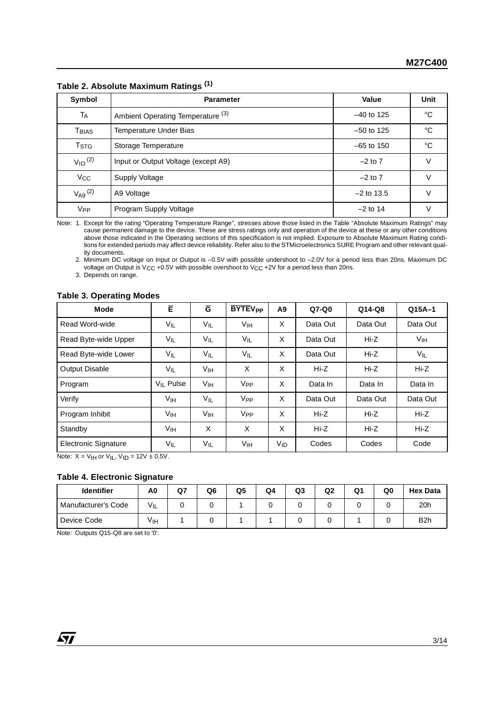|                            | $1800 - 1170001800$ maximum radiiyo          |              |      |
|----------------------------|----------------------------------------------|--------------|------|
| Symbol                     | <b>Parameter</b>                             | Value        | Unit |
| TA                         | Ambient Operating Temperature <sup>(3)</sup> | $-40$ to 125 | °C   |
| $\mathsf{T}_\mathsf{BIAS}$ | Temperature Under Bias                       | $-50$ to 125 | °C   |
| T <sub>STG</sub>           | Storage Temperature                          | $-65$ to 150 | °C   |
| $V_{10}$ <sup>(2)</sup>    | Input or Output Voltage (except A9)          | $-2$ to $7$  | V    |
| $V_{\rm CC}$               | Supply Voltage                               | $-2$ to $7$  | V    |
| $V_{A9}$ (2)               | A9 Voltage                                   | $-2$ to 13.5 |      |
| <b>V<sub>PP</sub></b>      | Program Supply Voltage                       | $-2$ to 14   |      |

**Table 2. Absolute Maximum Ratings (1)**

Note: 1. Except for the rating "Operating Temperature Range", stresses above those listed in the Table "Absolute Maximum Ratings" may cause permanent damage to the device. These are stress ratings only and operation of the device at these or any other conditions above those indicated in the Operating sections of this specification is not implied. Exposure to Absolute Maximum Rating conditions for extended periods may affect device reliability. Refer also to the STMicroelectronics SURE Program and other relevant quality documents.

2. Minimum DC voltage on Input or Output is –0.5V with possible undershoot to –2.0V for a period less than 20ns. Maximum DC voltage on Output is VCC +0.5V with possible overshoot to VCC +2V for a period less than 20ns.

3. Depends on range.

## **Table 3. Operating Modes**

| <b>Mode</b>                 | Ē               | $\overline{G}$  | <b>BYTEV<sub>PP</sub></b> | A9              | $Q7-Q0$  | $Q14-Q8$ | $Q15A-1$        |
|-----------------------------|-----------------|-----------------|---------------------------|-----------------|----------|----------|-----------------|
| Read Word-wide              | $V_{IL}$        | VIL             | V <sub>IH</sub>           | X               | Data Out | Data Out | Data Out        |
| Read Byte-wide Upper        | $V_{IL}$        | VIL             | $V_{IL}$                  | X               | Data Out | $Hi-Z$   | V <sub>IH</sub> |
| Read Byte-wide Lower        | $V_{IL}$        | $V_{IL}$        | V <sub>IL</sub>           | X               | Data Out | $Hi-Z$   | VIL             |
| <b>Output Disable</b>       | VIL             | V <sub>IH</sub> | X                         | X               | Hi-Z     | $Hi-Z$   | Hi-Z            |
| Program                     | $V_{II}$ Pulse  | V <sub>IH</sub> | V <sub>PP</sub>           | X               | Data In  | Data In  | Data In         |
| Verify                      | V <sub>IH</sub> | V <sub>IL</sub> | V <sub>PP</sub>           | X               | Data Out | Data Out | Data Out        |
| Program Inhibit             | V <sub>IH</sub> | V <sub>IH</sub> | V <sub>PP</sub>           | X               | Hi-Z     | Hi-Z     | Hi-Z            |
| Standby                     | V <sub>IH</sub> | X               | X                         | X               | Hi-Z     | $Hi-Z$   | Hi-Z            |
| <b>Electronic Signature</b> | $V_{IL}$        | V <sub>IL</sub> | V <sub>IH</sub>           | V <sub>ID</sub> | Codes    | Codes    | Code            |

Note:  $X = V_H$  or  $V_H$ ,  $V_H = 12V \pm 0.5V$ .

## **Table 4. Electronic Signature**

| <b>Identifier</b>   | A0  | Q7 | Q6 | Q5 | Q4 | Q3 | Q <sub>2</sub> | Q1 | Q0 | <b>Hex Data</b>  |
|---------------------|-----|----|----|----|----|----|----------------|----|----|------------------|
| Manufacturer's Code | VIL |    |    |    |    |    |                |    |    | 20h              |
| Device Code         | ۷ιн |    |    |    |    |    |                |    |    | B <sub>2</sub> h |

Note: Outputs Q15-Q8 are set to '0'.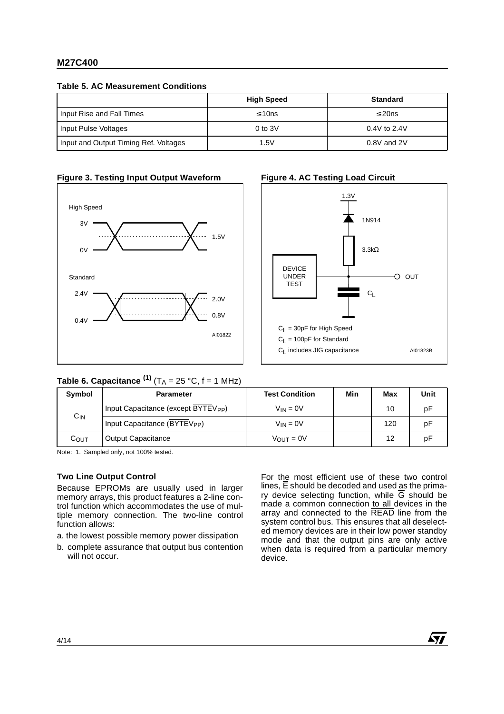## **M27C400**

**Table 5. AC Measurement Conditions**

|                                       | <b>High Speed</b> | <b>Standard</b> |
|---------------------------------------|-------------------|-----------------|
| Input Rise and Fall Times             | $\leq 10$ ns      | $\leq$ 20ns     |
| Input Pulse Voltages                  | $0$ to $3V$       | $0.4V$ to 2.4V  |
| Input and Output Timing Ref. Voltages | 1.5V              | $0.8V$ and $2V$ |







# **Table 6. Capacitance**  $^{(1)}$  **(T<sub>A</sub> = 25 °C, f = 1 MHz)**

| Symbol   | <b>Parameter</b>                                | <b>Test Condition</b> | Min | Max | Unit |
|----------|-------------------------------------------------|-----------------------|-----|-----|------|
|          | Input Capacitance (except BYTEV <sub>PP</sub> ) | $V_{IN} = 0V$         |     | 10  | рF   |
| $C_{IN}$ | Input Capacitance (BYTEV <sub>PP</sub> )        | $V_{IN} = 0V$         |     | 120 | рF   |
| Соυт     | <b>Output Capacitance</b>                       | $V_{OUT} = 0V$        |     | 12  | рF   |

Note: 1. Sampled only, not 100% tested.

## **Two Line Output Control**

Because EPROMs are usually used in larger memory arrays, this product features a 2-line control function which accommodates the use of multiple memory connection. The two-line control function allows:

a. the lowest possible memory power dissipation

b. complete assurance that output bus contention will not occur.

For the most efficient use of these two control lines,  $\overline{E}$  should be decoded and used as the primary device selecting function, while  $\overline{G}$  should be made a common connection to all devices in the array and connected to the READ line from the system control bus. This ensures that all deselected memory devices are in their low power standby mode and that the output pins are only active when data is required from a particular memory device.

#### 4/14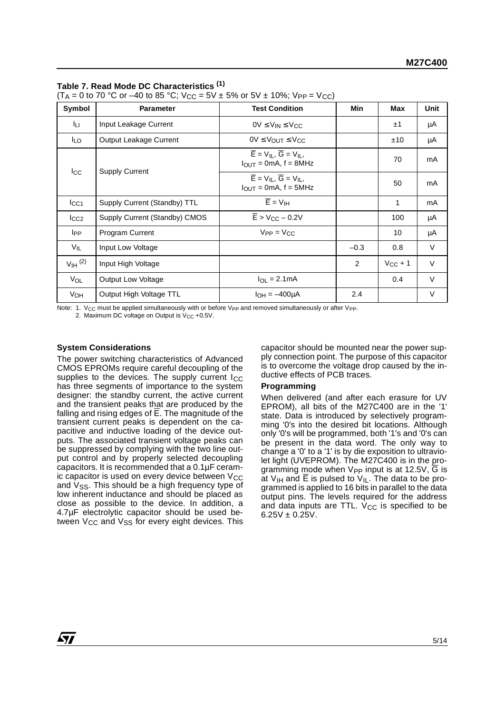## **Table 7. Read Mode DC Characteristics (1)**

 $(T_A = 0 \text{ to } 70 \text{ °C or } -40 \text{ to } 85 \text{ °C};$   $V_{CC} = 5V \pm 5\%$  or  $5V \pm 10\%$ ;  $V_{PP} = V_{CC}$ )

| Symbol                | <b>Parameter</b>              | <b>Test Condition</b>                                                                               | Min            | <b>Max</b>   | Unit   |
|-----------------------|-------------------------------|-----------------------------------------------------------------------------------------------------|----------------|--------------|--------|
| Īц                    | Input Leakage Current         | $0V \leq V_{IN} \leq V_{CC}$                                                                        |                | ±1           | μA     |
| <b>ILO</b>            | Output Leakage Current        | $0V \leq V_{OUT} \leq V_{CC}$                                                                       |                | ±10          | μA     |
| $_{\rm lcc}$          | <b>Supply Current</b>         | $\overline{E}$ = $V_{II}$ , $\overline{G}$ = $V_{II}$ ,<br>$I_{OUT} = 0mA$ , f = 8MHz               |                | 70           | mA     |
|                       |                               | $\overline{E}$ = V <sub>IL</sub> , $\overline{G}$ = V <sub>IL</sub> ,<br>$I_{OUT} = 0mA$ , f = 5MHz |                | 50           | mA     |
| $_{\text{lcc1}}$      | Supply Current (Standby) TTL  | $\overline{E}$ = $V_{\text{IH}}$                                                                    |                | 1            | mA     |
| $I_{CC2}$             | Supply Current (Standby) CMOS | $\overline{E}$ > V <sub>CC</sub> – 0.2V                                                             |                | 100          | μA     |
| <b>I</b> PP           | <b>Program Current</b>        | $V_{PP} = V_{CC}$                                                                                   |                | 10           | μA     |
| $V_{IL}$              | Input Low Voltage             |                                                                                                     | $-0.3$         | 0.8          | $\vee$ |
| $V_{\text{IH}}^{(2)}$ | Input High Voltage            |                                                                                                     | $\overline{2}$ | $V_{CC} + 1$ | $\vee$ |
| VOL                   | <b>Output Low Voltage</b>     | $I_{\Omega I} = 2.1 \text{mA}$                                                                      |                | 0.4          | $\vee$ |
| V <sub>OH</sub>       | Output High Voltage TTL       | $I_{OH} = -400 \mu A$                                                                               | 2.4            |              | V      |

Note: 1. V<sub>CC</sub> must be applied simultaneously with or before V<sub>PP</sub> and removed simultaneously or after V<sub>PP</sub>.

2. Maximum DC voltage on Output is  $V_{CC}$  +0.5V.

## **System Considerations**

The power switching characteristics of Advanced CMOS EPROMs require careful decoupling of the supplies to the devices. The supply current I<sub>CC</sub> has three segments of importance to the system designer: the standby current, the active current and the transient peaks that are produced by the falling and rising edges of  $\overline{E}$ . The magnitude of the transient current peaks is dependent on the capacitive and inductive loading of the device outputs. The associated transient voltage peaks can be suppressed by complying with the two line output control and by properly selected decoupling capacitors. It is recommended that a 0.1µF ceramic capacitor is used on every device between  $V_{CC}$ and V<sub>SS</sub>. This should be a high frequency type of low inherent inductance and should be placed as close as possible to the device. In addition, a 4.7µF electrolytic capacitor should be used between  $V_{CC}$  and  $V_{SS}$  for every eight devices. This capacitor should be mounted near the power supply connection point. The purpose of this capacitor is to overcome the voltage drop caused by the inductive effects of PCB traces.

## **Programming**

When delivered (and after each erasure for UV EPROM), all bits of the M27C400 are in the '1' state. Data is introduced by selectively programming '0's into the desired bit locations. Although only '0's will be programmed, both '1's and '0's can be present in the data word. The only way to change a '0' to a '1' is by die exposition to ultraviolet light (UVEPROM). The M27C400 is in the programming mode when  $V_{PP}$  input is at 12.5V,  $\overline{G}$  is at V<sub>IH</sub> and  $\overline{E}$  is pulsed to V<sub>IL</sub>. The data to be programmed is applied to 16 bits in parallel to the data output pins. The levels required for the address and data inputs are TTL.  $V_{CC}$  is specified to be  $6.25V \pm 0.25V$ .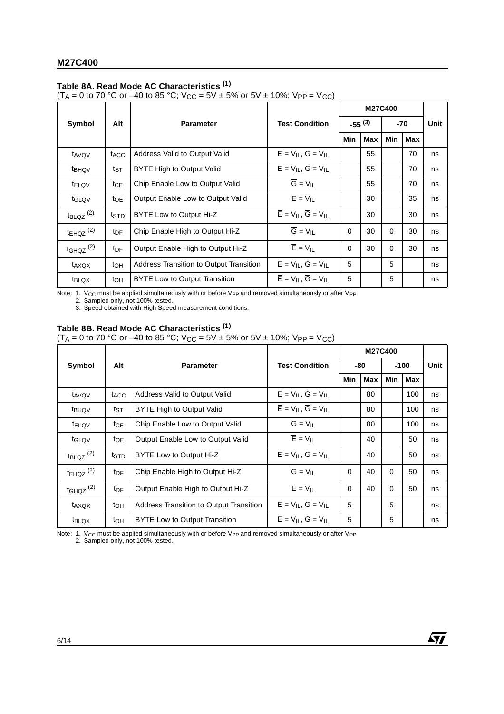## **Table 8A. Read Mode AC Characteristics (1)**

(T<sub>A</sub> = 0 to 70 °C or –40 to 85 °C; V<sub>CC</sub> = 5V ± 5% or 5V ± 10%; V<sub>PP</sub> = V<sub>CC</sub>)

|                                  |                  |                                                |                                                                     |             |            | M27C400  |            |      |
|----------------------------------|------------------|------------------------------------------------|---------------------------------------------------------------------|-------------|------------|----------|------------|------|
| Symbol                           | Alt              | <b>Parameter</b>                               | <b>Test Condition</b>                                               | $-55^{(3)}$ |            | -70      |            | Unit |
|                                  |                  |                                                |                                                                     | Min         | <b>Max</b> | Min      | <b>Max</b> |      |
| t <sub>AVQV</sub>                | t <sub>ACC</sub> | Address Valid to Output Valid                  | $\overline{E} = V_{II}$ , $\overline{G} = V_{II}$                   |             | 55         |          | 70         | ns   |
| t <sub>BHQV</sub>                | ts⊤              | BYTE High to Output Valid                      | $\overline{E} = V_{II}$ , $\overline{G} = V_{II}$                   |             | 55         |          | 70         | ns   |
| t <sub>ELQV</sub>                | tcE              | Chip Enable Low to Output Valid                | $\overline{G}$ = $V_{IL}$                                           |             | 55         |          | 70         | ns   |
| t <sub>GLQV</sub>                | to <sub>E</sub>  | Output Enable Low to Output Valid              | $\overline{E}$ = $V_{IL}$                                           |             | 30         |          | 35         | ns   |
| $t_{\text{BLQZ}}$ <sup>(2)</sup> | tstp             | BYTE Low to Output Hi-Z                        | $\overline{E}$ = $V_{IL}$ , $\overline{G}$ = $V_{IL}$               |             | 30         |          | 30         | ns   |
| $t_{EHQZ}$ <sup>(2)</sup>        | t <sub>DF</sub>  | Chip Enable High to Output Hi-Z                | $\overline{G} = V_{II}$                                             | $\Omega$    | 30         | $\Omega$ | 30         | ns   |
| $t$ GHQZ $(2)$                   | t <sub>DF</sub>  | Output Enable High to Output Hi-Z              | $\overline{E} = V_{II}$                                             | $\mathbf 0$ | 30         | 0        | 30         | ns   |
| t <sub>AXQX</sub>                | toh              | <b>Address Transition to Output Transition</b> | $\overline{E}$ = V <sub>II</sub> , $\overline{G}$ = V <sub>II</sub> | 5           |            | 5        |            | ns   |
| <b>t</b> BLQX                    | toh              | BYTE Low to Output Transition                  | $\overline{E}$ = $V_{IL}$ , $\overline{G}$ = $V_{IL}$               | 5           |            | 5        |            | ns   |

Note: 1.  $V_{CC}$  must be applied simultaneously with or before V<sub>PP</sub> and removed simultaneously or after V<sub>PP</sub>

2. Sampled only, not 100% tested.

3. Speed obtained with High Speed measurement conditions.

## **Table 8B. Read Mode AC Characteristics (1)**

(T<sub>A</sub> = 0 to 70 °C or –40 to 85 °C; V<sub>CC</sub> = 5V ± 5% or 5V ± 10%; V<sub>PP</sub> = V<sub>CC</sub>)

|                                  |                  |                                         |                                                                     |          |     | M27C400  |        |      |
|----------------------------------|------------------|-----------------------------------------|---------------------------------------------------------------------|----------|-----|----------|--------|------|
| Symbol                           | Alt              | <b>Parameter</b>                        | <b>Test Condition</b>                                               |          | -80 |          | $-100$ | Unit |
|                                  |                  |                                         |                                                                     | Min      | Max | Min      | Max    |      |
| t <sub>AVQV</sub>                | t <sub>ACC</sub> | Address Valid to Output Valid           | $\overline{E} = V_{II}$ , $\overline{G} = V_{II}$                   |          | 80  |          | 100    | ns   |
| t <sub>BHQV</sub>                | tst              | BYTE High to Output Valid               | $\overline{E}$ = V <sub>II</sub> , $\overline{G}$ = V <sub>II</sub> |          | 80  |          | 100    | ns   |
| t <sub>ELQV</sub>                | $tc_E$           | Chip Enable Low to Output Valid         | $\overline{G} = V_{IL}$                                             |          | 80  |          | 100    | ns   |
| t <sub>GLQV</sub>                | toe              | Output Enable Low to Output Valid       | $\overline{E}$ = $V_{IL}$                                           |          | 40  |          | 50     | ns   |
| $t_{\text{BLQZ}}$ <sup>(2)</sup> | ts⊤n             | BYTE Low to Output Hi-Z                 | $\overline{E}$ = V <sub>II</sub> , $\overline{G}$ = V <sub>II</sub> |          | 40  |          | 50     | ns   |
| $t_{EHQZ}$ <sup>(2)</sup>        | t <sub>DF</sub>  | Chip Enable High to Output Hi-Z         | $\overline{G} = V_{II}$                                             | $\Omega$ | 40  | $\Omega$ | 50     | ns   |
| $t$ GHQZ $(2)$                   | t <sub>DF</sub>  | Output Enable High to Output Hi-Z       | $\overline{E}$ = $V_{IL}$                                           | $\Omega$ | 40  | $\Omega$ | 50     | ns   |
| t <sub>AXQX</sub>                | $t_{OH}$         | Address Transition to Output Transition | $\overline{E} = V_{\rm II}$ , $\overline{G} = V_{\rm II}$           | 5        |     | 5        |        | ns   |
| t <sub>BLQX</sub>                | toh              | <b>BYTE Low to Output Transition</b>    | $\overline{E}$ = $V_{IL}$ , $\overline{G}$ = $V_{IL}$               | 5        |     | 5        |        | ns   |

57

Note: 1. V<sub>CC</sub> must be applied simultaneously with or before V<sub>PP</sub> and removed simultaneously or after V<sub>PP</sub> 2. Sampled only, not 100% tested.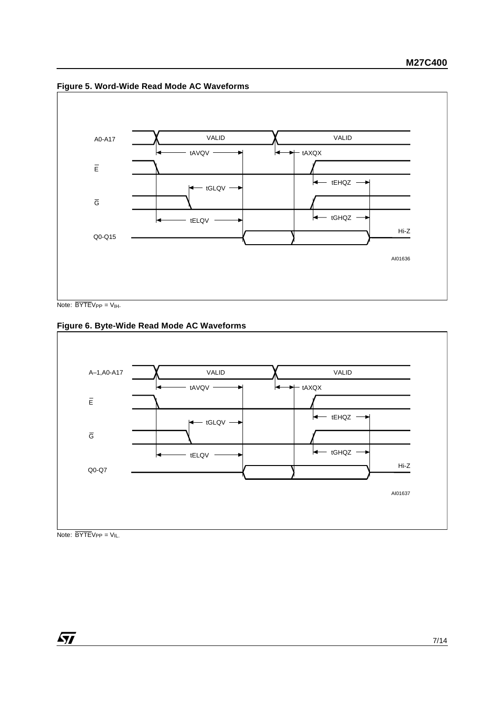

**Figure 5. Word-Wide Read Mode AC Waveforms**

Note:  $\overline{BYTE}V_{PP} = V_{IH}.$ 

## **Figure 6. Byte-Wide Read Mode AC Waveforms**



Note:  $\overline{BYTEV_{PP}} = V_{IL}$ .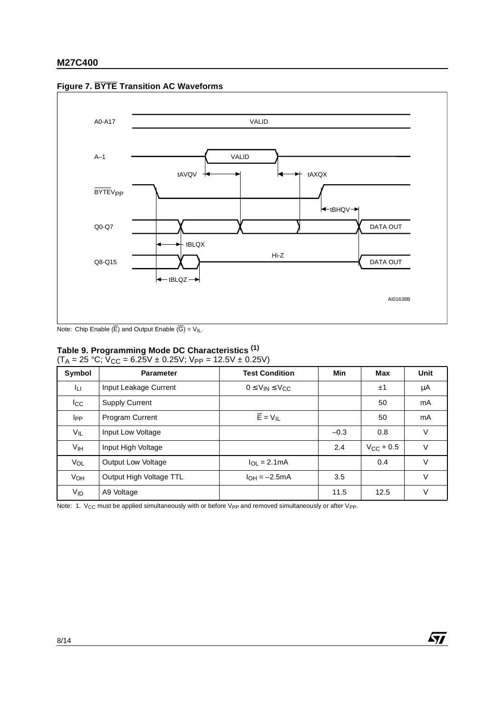

## **Figure 7. BYTE Transition AC Waveforms**

Note: Chip Enable  $(\overline{E})$  and Output Enable  $(\overline{G}) = V_{I}L$ .

## **Table 9. Programming Mode DC Characteristics (1)**

 $(T_A = 25 \text{ °C}; V_{CC} = 6.25V \pm 0.25V; V_{PP} = 12.5V \pm 0.25V)$ 

| Symbol                | <b>Parameter</b>        | <b>Test Condition</b>          | Min    | Max                | Unit   |
|-----------------------|-------------------------|--------------------------------|--------|--------------------|--------|
| Iцг                   | Input Leakage Current   | $0 \leq V_{IN} \leq V_{CC}$    |        | ±1                 | μA     |
| $_{\rm lcc}$          | <b>Supply Current</b>   |                                |        | 50                 | mA     |
| <b>I</b> PP           | <b>Program Current</b>  | $\overline{E}$ = $V_{IL}$      |        | 50                 | mA     |
| VIL                   | Input Low Voltage       |                                | $-0.3$ | 0.8                | V      |
| Vıн                   | Input High Voltage      |                                | 2.4    | $V_{\rm CC}$ + 0.5 | $\vee$ |
| VOL                   | Output Low Voltage      | $I_{\text{O}} = 2.1 \text{mA}$ |        | 0.4                | $\vee$ |
| VOH                   | Output High Voltage TTL | $I_{OH} = -2.5mA$              | 3.5    |                    | $\vee$ |
| <b>V<sub>ID</sub></b> | A9 Voltage              |                                | 11.5   | 12.5               | ٧      |

 $\sqrt{M}$ 

Note: 1. V<sub>CC</sub> must be applied simultaneously with or before V<sub>PP</sub> and removed simultaneously or after V<sub>PP</sub>.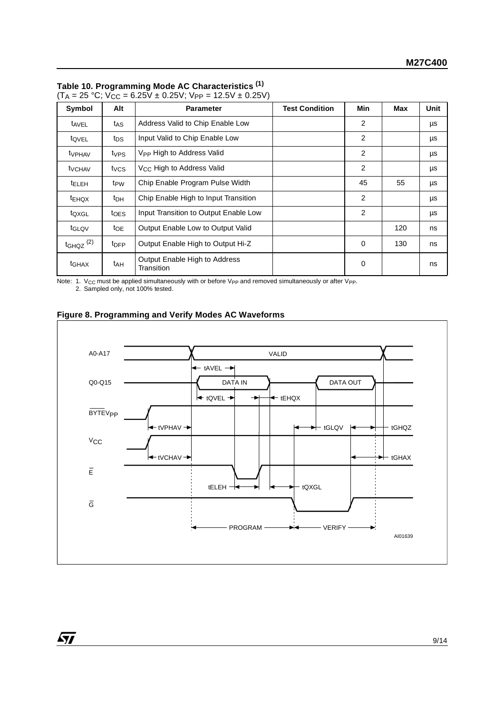| Symbol                    | Alt              | <b>Parameter</b>                            | <b>Test Condition</b> | Min | Max | Unit |
|---------------------------|------------------|---------------------------------------------|-----------------------|-----|-----|------|
| t <sub>AVEL</sub>         | t <sub>AS</sub>  | Address Valid to Chip Enable Low            |                       | 2   |     | μs   |
| tovel                     | tps              | Input Valid to Chip Enable Low              |                       | 2   |     | μs   |
| <b>t</b> <sub>VPHAV</sub> | t <sub>VPS</sub> | V <sub>PP</sub> High to Address Valid       |                       | 2   |     | μs   |
| <b>t</b> VCHAV            | tycs             | V <sub>CC</sub> High to Address Valid       |                       | 2   |     | μs   |
| <b>TELEH</b>              | t <sub>PW</sub>  | Chip Enable Program Pulse Width             |                       | 45  | 55  | μs   |
| <sup>t</sup> EHQX         | t <sub>DH</sub>  | Chip Enable High to Input Transition        |                       | 2   |     | μs   |
| toxgL                     | toes             | Input Transition to Output Enable Low       |                       | 2   |     | μs   |
| t <sub>GLQV</sub>         | toe              | Output Enable Low to Output Valid           |                       |     | 120 | ns   |
| $t$ GHQZ $(2)$            | t <sub>DFP</sub> | Output Enable High to Output Hi-Z           |                       | 0   | 130 | ns   |
| t <sub>GHAX</sub>         | t <sub>AH</sub>  | Output Enable High to Address<br>Transition |                       | 0   |     | ns   |

| Table 10. Programming Mode AC Characteristics (1) |  |  |  |  |  |
|---------------------------------------------------|--|--|--|--|--|
|---------------------------------------------------|--|--|--|--|--|

 $(T_A = 25 \text{ °C}; V_{CC} = 6.25V \pm 0.25V; V_{PP} = 12.5V \pm 0.25V)$ 

Note: 1. V<sub>CC</sub> must be applied simultaneously with or before V<sub>PP</sub> and removed simultaneously or after V<sub>PP</sub>.<br>2. Sampled only, not 100% tested.



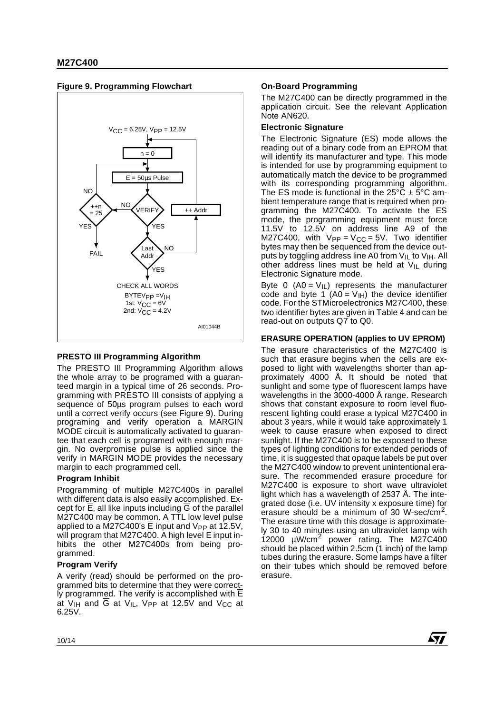

## **Figure 9. Programming Flowchart**

## **PRESTO III Programming Algorithm**

The PRESTO III Programming Algorithm allows the whole array to be programed with a guaranteed margin in a typical time of 26 seconds. Programming with PRESTO III consists of applying a sequence of 50us program pulses to each word until a correct verify occurs (see Figure 9). During programing and verify operation a MARGIN MODE circuit is automatically activated to guarantee that each cell is programed with enough margin. No overpromise pulse is applied since the verify in MARGIN MODE provides the necessary margin to each programmed cell.

## **Program Inhibit**

Programming of multiple M27C400s in parallel with different data is also easily accomplished. Except for  $\overline{E}$ , all like inputs including  $\overline{G}$  of the parallel M27C400 may be common. A TTL low level pulse applied to a M27C400's  $\overline{E}$  input and V<sub>PP</sub> at 12.5V, will program that M27C400. A high level  $\overline{E}$  input inhibits the other M27C400s from being programmed.

## **Program Verify**

A verify (read) should be performed on the programmed bits to determine that they were correctly programmed. The verify is accomplished with E at  $V_{\text{IH}}$  and  $\overline{G}$  at  $V_{\text{IL}}$ ,  $V_{PP}$  at 12.5V and  $V_{CC}$  at 6.25V.

## **On-Board Programming**

The M27C400 can be directly programmed in the application circuit. See the relevant Application Note AN620.

## **Electronic Signature**

The Electronic Signature (ES) mode allows the reading out of a binary code from an EPROM that will identify its manufacturer and type. This mode is intended for use by programming equipment to automatically match the device to be programmed with its corresponding programming algorithm. The ES mode is functional in the  $25^{\circ}$ C  $\pm$  5°C ambient temperature range that is required when programming the M27C400. To activate the ES mode, the programming equipment must force 11.5V to 12.5V on address line A9 of the M27C400, with  $V_{PP} = V_{CC} = 5V$ . Two identifier bytes may then be sequenced from the device outputs by toggling address line A0 from  $V_{IL}$  to  $V_{IH}$ . All other address lines must be held at  $V_{II}$  during Electronic Signature mode.

Byte 0 (A0 =  $V_{\text{IL}}$ ) represents the manufacturer code and byte  $1/(AO = V_{\text{IH}})$  the device identifier code. For the STMicroelectronics M27C400, these two identifier bytes are given in Table 4 and can be read-out on outputs Q7 to Q0.

## **ERASURE OPERATION (applies to UV EPROM)**

The erasure characteristics of the M27C400 is such that erasure begins when the cells are exposed to light with wavelengths shorter than approximately 4000 Å. It should be noted that sunlight and some type of fluorescent lamps have wavelengths in the 3000-4000 Å range. Research shows that constant exposure to room level fluorescent lighting could erase a typical M27C400 in about 3 years, while it would take approximately 1 week to cause erasure when exposed to direct sunlight. If the M27C400 is to be exposed to these types of lighting conditions for extended periods of time, it is suggested that opaque labels be put over the M27C400 window to prevent unintentional erasure. The recommended erasure procedure for M27C400 is exposure to short wave ultraviolet light which has a wavelength of 2537 Å. The integrated dose (i.e. UV intensity x exposure time) for erasure should be a minimum of 30 W-sec/cm<sup>2</sup>. The erasure time with this dosage is approximately 30 to 40 minutes using an ultraviolet lamp with 12000 µW/cm<sup>2</sup> power rating. The M27C400 should be placed within 2.5cm  $(1 \text{ inch})$  of the lamp tubes during the erasure. Some lamps have a filter on their tubes which should be removed before erasure.

**Ayy**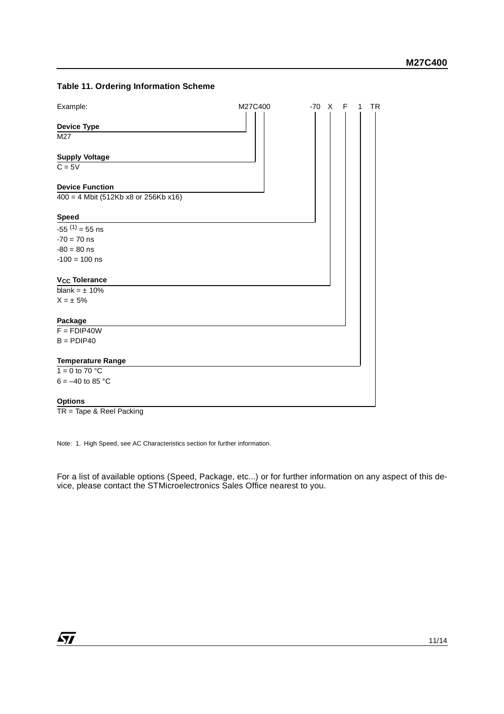## **Table 11. Ordering Information Scheme**



TR = Tape & Reel Packing

Note: 1. High Speed, see AC Characteristics section for further information.

For a list of available options (Speed, Package, etc...) or for further information on any aspect of this device, please contact the STMicroelectronics Sales Office nearest to you.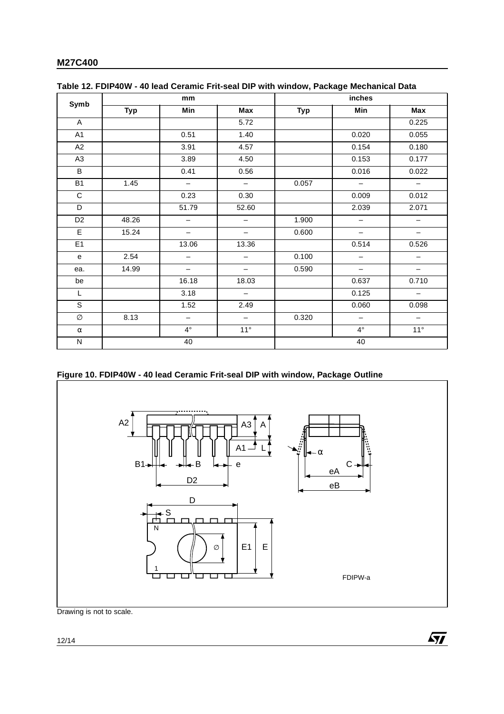## **M27C400**

| Symb           | mm         |                          |                          | inches     |                          |                          |
|----------------|------------|--------------------------|--------------------------|------------|--------------------------|--------------------------|
|                | <b>Typ</b> | Min                      | Max                      | <b>Typ</b> | Min                      | Max                      |
| $\mathsf{A}$   |            |                          | 5.72                     |            |                          | 0.225                    |
| A <sub>1</sub> |            | 0.51                     | 1.40                     |            | 0.020                    | 0.055                    |
| A2             |            | 3.91                     | 4.57                     |            | 0.154                    | 0.180                    |
| A <sub>3</sub> |            | 3.89                     | 4.50                     |            | 0.153                    | 0.177                    |
| B              |            | 0.41                     | 0.56                     |            | 0.016                    | 0.022                    |
| <b>B1</b>      | 1.45       | $\overline{\phantom{m}}$ | $\overline{\phantom{a}}$ | 0.057      | $\qquad \qquad -$        | $\overline{\phantom{0}}$ |
| C              |            | 0.23                     | 0.30                     |            | 0.009                    | 0.012                    |
| D              |            | 51.79                    | 52.60                    |            | 2.039                    | 2.071                    |
| D <sub>2</sub> | 48.26      | $\overline{\phantom{0}}$ | —                        | 1.900      | $\qquad \qquad -$        | —                        |
| E              | 15.24      | $\qquad \qquad -$        | $\qquad \qquad -$        | 0.600      | $\overline{\phantom{0}}$ | $\qquad \qquad -$        |
| E <sub>1</sub> |            | 13.06                    | 13.36                    |            | 0.514                    | 0.526                    |
| e              | 2.54       | $\qquad \qquad -$        | $\qquad \qquad -$        | 0.100      | $\qquad \qquad -$        | $\qquad \qquad -$        |
| ea.            | 14.99      | $\qquad \qquad -$        | $\qquad \qquad -$        | 0.590      | $\qquad \qquad -$        | $\qquad \qquad -$        |
| be             |            | 16.18                    | 18.03                    |            | 0.637                    | 0.710                    |
| L              |            | 3.18                     | $\qquad \qquad -$        |            | 0.125                    |                          |
| S              |            | 1.52                     | 2.49                     |            | 0.060                    | 0.098                    |
| Ø              | 8.13       | $\overline{\phantom{0}}$ | $\qquad \qquad -$        | 0.320      | $\qquad \qquad -$        | $\qquad \qquad -$        |
| $\alpha$       |            | $4^{\circ}$              | $11^{\circ}$             |            | $4^{\circ}$              | $11^{\circ}$             |
| ${\sf N}$      | 40         |                          |                          | 40         |                          |                          |

## **Table 12. FDIP40W - 40 lead Ceramic Frit-seal DIP with window, Package Mechanical Data**

## **Figure 10. FDIP40W - 40 lead Ceramic Frit-seal DIP with window, Package Outline**



Drawing is not to scale.

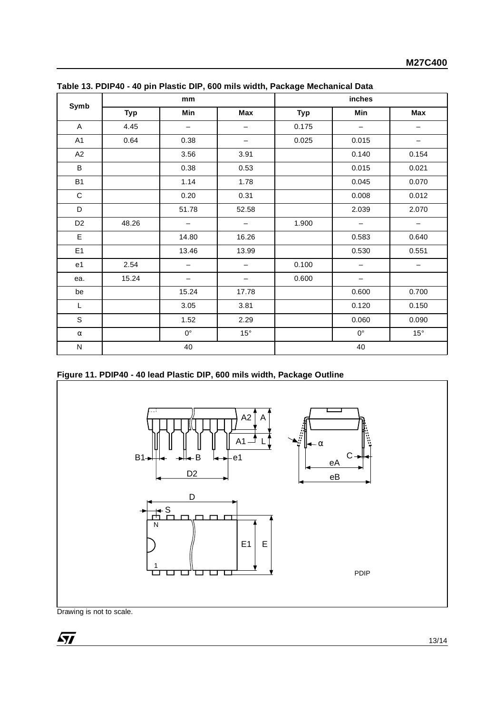| Symb           | mm         |                          |                   | inches     |                          |              |
|----------------|------------|--------------------------|-------------------|------------|--------------------------|--------------|
|                | <b>Typ</b> | Min                      | Max               | <b>Typ</b> | Min                      | Max          |
| A              | 4.45       | $\overline{\phantom{m}}$ | $\qquad \qquad -$ | 0.175      | $\overline{\phantom{m}}$ | —            |
| A1             | 0.64       | 0.38                     | -                 | 0.025      | 0.015                    |              |
| A2             |            | 3.56                     | 3.91              |            | 0.140                    | 0.154        |
| B              |            | 0.38                     | 0.53              |            | 0.015                    | 0.021        |
| B <sub>1</sub> |            | 1.14                     | 1.78              |            | 0.045                    | 0.070        |
| C              |            | 0.20                     | 0.31              |            | 0.008                    | 0.012        |
| D              |            | 51.78                    | 52.58             |            | 2.039                    | 2.070        |
| D <sub>2</sub> | 48.26      | $\overline{\phantom{0}}$ | $\qquad \qquad -$ | 1.900      | $\qquad \qquad -$        | —            |
| E              |            | 14.80                    | 16.26             |            | 0.583                    | 0.640        |
| E <sub>1</sub> |            | 13.46                    | 13.99             |            | 0.530                    | 0.551        |
| e <sub>1</sub> | 2.54       |                          |                   | 0.100      |                          |              |
| ea.            | 15.24      |                          |                   | 0.600      | -                        |              |
| be             |            | 15.24                    | 17.78             |            | 0.600                    | 0.700        |
| L              |            | 3.05                     | 3.81              |            | 0.120                    | 0.150        |
| S              |            | 1.52                     | 2.29              |            | 0.060                    | 0.090        |
| $\alpha$       |            | $0^{\circ}$              | $15^{\circ}$      |            | $0^{\circ}$              | $15^{\circ}$ |
| N              | 40         |                          | 40                |            |                          |              |

| Table 13. PDIP40 - 40 pin Plastic DIP, 600 mils width, Package Mechanical Data |  |  |  |
|--------------------------------------------------------------------------------|--|--|--|
|                                                                                |  |  |  |

| Figure 11. PDIP40 - 40 lead Plastic DIP, 600 mils width, Package Outline |  |
|--------------------------------------------------------------------------|--|
|                                                                          |  |
|                                                                          |  |



Drawing is not to scale.